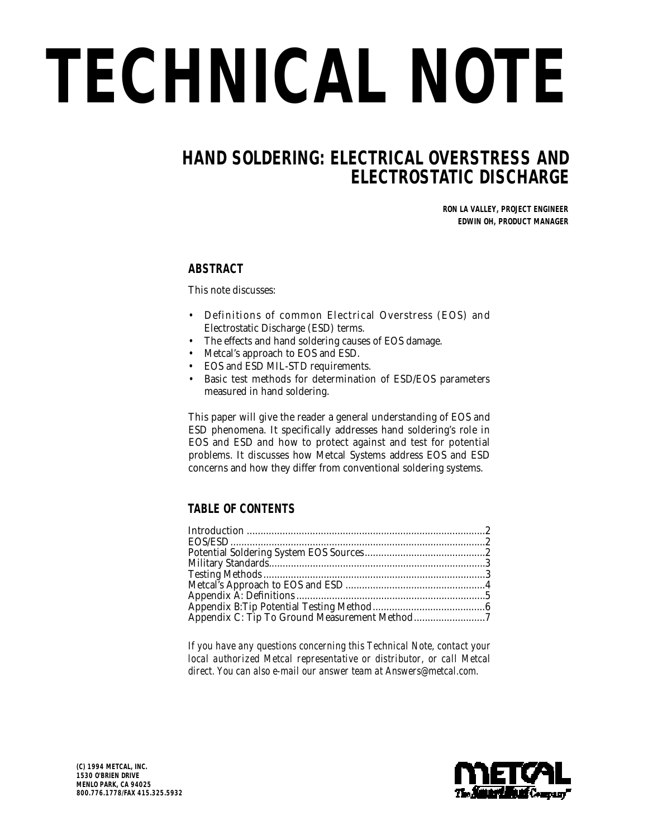# *TECHNICAL NOTE*

# *HAND SOLDERING: ELECTRICAL OVERSTRESS AND ELECTROSTATIC DISCHARGE*

*RON LA VALLEY, PROJECT ENGINEER EDWIN OH, PRODUCT MANAGER*

## **ABSTRACT**

This note discusses:

- Definitions of common Electrical Overstress (EOS) and Electrostatic Discharge (ESD) terms.
- The effects and hand soldering causes of EOS damage.
- Metcal's approach to EOS and ESD.
- EOS and ESD MIL-STD requirements.
- Basic test methods for determination of ESD/EOS parameters measured in hand soldering.

This paper will give the reader a general understanding of EOS and ESD phenomena. It specifically addresses hand soldering's role in EOS and ESD and how to protect against and test for potential problems. It discusses how Metcal Systems address EOS and ESD concerns and how they differ from conventional soldering systems.

## **TABLE OF CONTENTS**

*If you have any questions concerning this Technical Note, contact your local authorized Metcal representative or distributor, or call Metcal direct. You can also e-mail our answer team at Answers@metcal.com.*

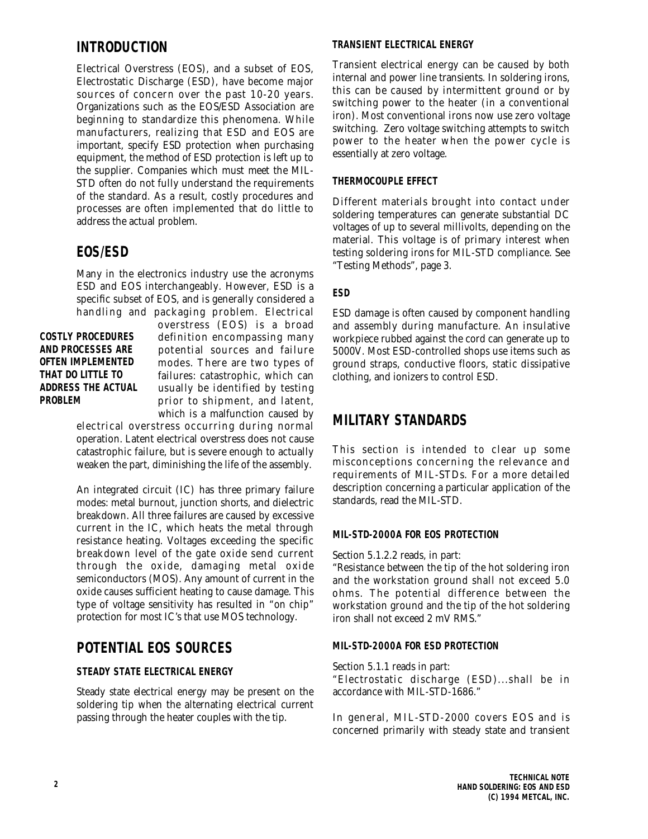# *INTRODUCTION*

Electrical Overstress (EOS), and a subset of EOS, Electrostatic Discharge (ESD), have become major sources of concern over the past 10-20 years. Organizations such as the EOS/ESD Association are beginning to standardize this phenomena. While manufacturers, realizing that ESD and EOS are important, specify ESD protection when purchasing equipment, the method of ESD protection is left up to the supplier. Companies which must meet the MIL-STD often do not fully understand the requirements of the standard. As a result, costly procedures and processes are often implemented that do little to address the actual problem.

# *EOS/ESD*

Many in the electronics industry use the acronyms ESD and EOS interchangeably. However, ESD is a specific subset of EOS, and is generally considered a handling and packaging problem. Electrical

**COSTLY PROCEDURES AND PROCESSES ARE OFTEN IMPLEMENTED THAT DO LITTLE TO ADDRESS THE ACTUAL PROBLEM**

overstress (EOS) is a broad definition encompassing many potential sources and failure modes. There are two types of failures: catastrophic, which can usually be identified by testing prior to shipment, and latent, which is a malfunction caused by

electrical overstress occurring during normal operation. Latent electrical overstress does not cause catastrophic failure, but is severe enough to actually weaken the part, diminishing the life of the assembly.

An integrated circuit (IC) has three primary failure modes: metal burnout, junction shorts, and dielectric breakdown. All three failures are caused by excessive current in the IC, which heats the metal through resistance heating. Voltages exceeding the specific breakdown level of the gate oxide send current through the oxide, damaging metal oxide semiconductors (MOS). Any amount of current in the oxide causes sufficient heating to cause damage. This type of voltage sensitivity has resulted in "on chip" protection for most IC's that use MOS technology.

# *POTENTIAL EOS SOURCES*

## **STEADY STATE ELECTRICAL ENERGY**

Steady state electrical energy may be present on the soldering tip when the alternating electrical current passing through the heater couples with the tip.

## **TRANSIENT ELECTRICAL ENERGY**

Transient electrical energy can be caused by both internal and power line transients. In soldering irons, this can be caused by intermittent ground or by switching power to the heater (in a conventional iron). Most conventional irons now use zero voltage switching. Zero voltage switching attempts to switch power to the heater when the power cycle is essentially at zero voltage.

## **THERMOCOUPLE EFFECT**

Different materials brought into contact under soldering temperatures can generate substantial DC voltages of up to several millivolts, depending on the material. This voltage is of primary interest when testing soldering irons for MIL-STD compliance. See "Testing Methods", page 3.

## **ESD**

ESD damage is often caused by component handling and assembly during manufacture. An insulative workpiece rubbed against the cord can generate up to 5000V. Most ESD-controlled shops use items such as ground straps, conductive floors, static dissipative clothing, and ionizers to control ESD.

# *MILITARY STANDARDS*

This section is intended to clear up some misconceptions concerning the relevance and requirements of MIL-STDs. For a more detailed description concerning a particular application of the standards, read the MIL-STD.

#### **MIL-STD-2000A FOR EOS PROTECTION**

Section 5.1.2.2 reads, in part:

"Resistance between the tip of the hot soldering iron and the workstation ground shall not exceed 5.0 ohms. The potential difference between the workstation ground and the tip of the hot soldering iron shall not exceed 2 mV RMS."

## **MIL-STD-2000A FOR ESD PROTECTION**

Section 5.1.1 reads in part:

"Electrostatic discharge (ESD)...shall be in accordance with MIL-STD-1686."

In general, MIL-STD-2000 covers EOS and is concerned primarily with steady state and transient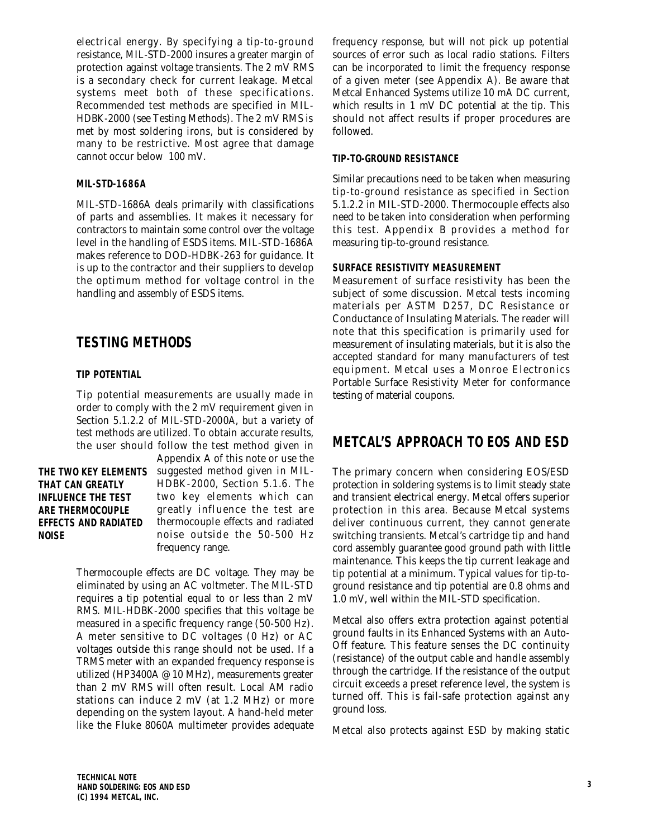electrical energy. By specifying a tip-to-ground resistance, MIL-STD-2000 insures a greater margin of protection against voltage transients. The 2 mV RMS is a secondary check for current leakage. Metcal systems meet both of these specifications. Recommended test methods are specified in MIL-HDBK-2000 (see Testing Methods). The 2 mV RMS is met by most soldering irons, but is considered by many to be restrictive. Most agree that damage cannot occur below 100 mV.

#### **MIL-STD-1686A**

MIL-STD-1686A deals primarily with classifications of parts and assemblies. It makes it necessary for contractors to maintain some control over the voltage level in the handling of ESDS items. MIL-STD-1686A makes reference to DOD-HDBK-263 for guidance. It is up to the contractor and their suppliers to develop the optimum method for voltage control in the handling and assembly of ESDS items.

# *TESTING METHODS*

## **TIP POTENTIAL**

Tip potential measurements are usually made in order to comply with the 2 mV requirement given in Section 5.1.2.2 of MIL-STD-2000A, but a variety of test methods are utilized. To obtain accurate results, the user should follow the test method given in

## **THAT CAN GREATLY INFLUENCE THE TEST ARE THERMOCOUPLE EFFECTS AND RADIATED NOISE**

Appendix A of this note or use the THE TWO KEY ELEMENTS  $\,$  suggested method given in MIL-HDBK-2000, Section 5.1.6. The two key elements which can greatly influence the test are thermocouple effects and radiated noise outside the 50-500 Hz frequency range.

> Thermocouple effects are DC voltage. They may be eliminated by using an AC voltmeter. The MIL-STD requires a tip potential equal to or less than 2 mV RMS. MIL-HDBK-2000 specifies that this voltage be measured in a specific frequency range (50-500 Hz). A meter sensitive to DC voltages (0 Hz) or AC voltages outside this range should not be used. If a TRMS meter with an expanded frequency response is utilized (HP3400A @ 10 MHz), measurements greater than 2 mV RMS will often result. Local AM radio stations can induce 2 mV (at 1.2 MHz) or more depending on the system layout. A hand-held meter like the Fluke 8060A multimeter provides adequate

frequency response, but will not pick up potential sources of error such as local radio stations. Filters can be incorporated to limit the frequency response of a given meter (see Appendix A). Be aware that Metcal Enhanced Systems utilize 10 mA DC current, which results in 1 mV DC potential at the tip. This should not affect results if proper procedures are followed.

#### **TIP-TO-GROUND RESISTANCE**

Similar precautions need to be taken when measuring tip-to-ground resistance as specified in Section 5.1.2.2 in MIL-STD-2000. Thermocouple effects also need to be taken into consideration when performing this test. Appendix B provides a method for measuring tip-to-ground resistance.

## **SURFACE RESISTIVITY MEASUREMENT**

Measurement of surface resistivity has been the subject of some discussion. Metcal tests incoming materials per ASTM D257, DC Resistance or Conductance of Insulating Materials. The reader will note that this specification is primarily used for measurement of insulating materials, but it is also the accepted standard for many manufacturers of test equipment. Metcal uses a Monroe Electronics Portable Surface Resistivity Meter for conformance testing of material coupons.

# *METCAL'S APPROACH TO EOS AND ESD*

The primary concern when considering EOS/ESD protection in soldering systems is to limit steady state and transient electrical energy. Metcal offers superior protection in this area. Because Metcal systems deliver continuous current, they cannot generate switching transients. Metcal's cartridge tip and hand cord assembly guarantee good ground path with little maintenance. This keeps the tip current leakage and tip potential at a minimum. Typical values for tip-toground resistance and tip potential are 0.8 ohms and 1.0 mV, well within the MIL-STD specification.

Metcal also offers extra protection against potential ground faults in its Enhanced Systems with an Auto-Off feature. This feature senses the DC continuity (resistance) of the output cable and handle assembly through the cartridge. If the resistance of the output circuit exceeds a preset reference level, the system is turned off. This is fail-safe protection against any ground loss.

Metcal also protects against ESD by making static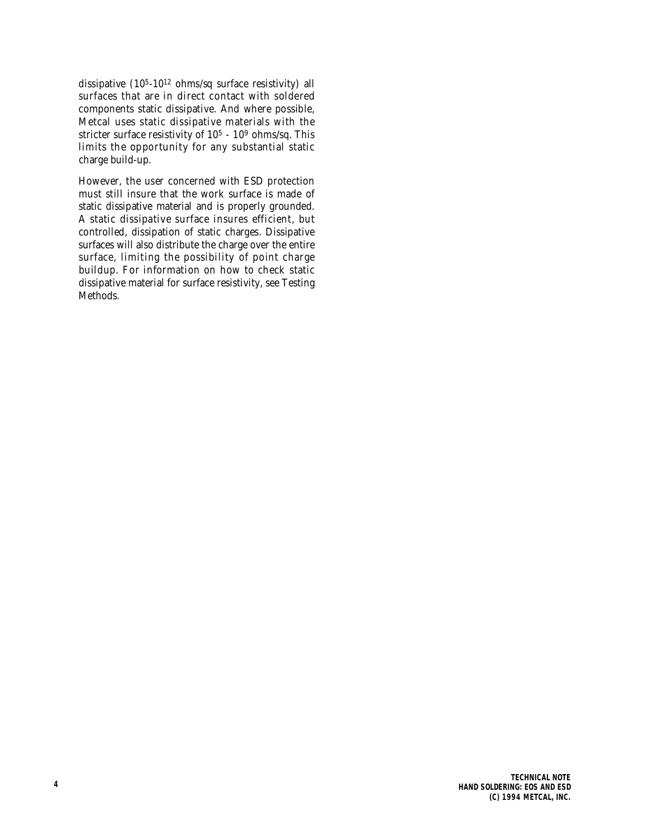dissipative  $(10^{5} - 10^{12} \text{ ohms/sq surface resistivity})$  all surfaces that are in direct contact with soldered components static dissipative. And where possible, Metcal uses static dissipative materials with the stricter surface resistivity of 10<sup>5</sup> - 10<sup>9</sup> ohms/sq. This limits the opportunity for any substantial static charge build-up.

However, the user concerned with ESD protection must still insure that the work surface is made of static dissipative material and is properly grounded. A static dissipative surface insures efficient, but controlled, dissipation of static charges. Dissipative surfaces will also distribute the charge over the entire surface, limiting the possibility of point charge buildup. For information on how to check static dissipative material for surface resistivity, see Testing Methods.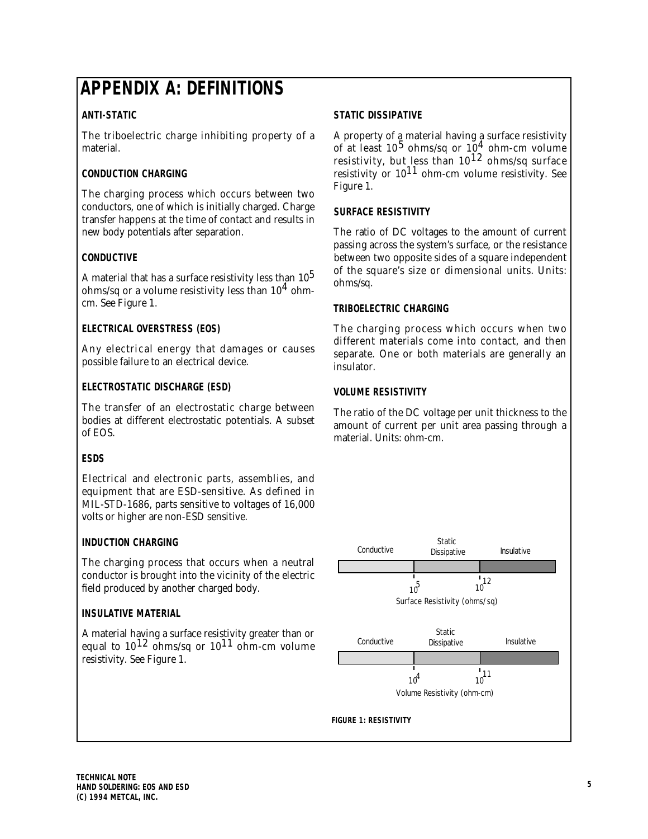# *APPENDIX A: DEFINITIONS*

## **ANTI-STATIC**

The triboelectric charge inhibiting property of a material.

## **CONDUCTION CHARGING**

The charging process which occurs between two conductors, one of which is initially charged. Charge transfer happens at the time of contact and results in new body potentials after separation.

## **CONDUCTIVE**

A material that has a surface resistivity less than  $10<sup>5</sup>$ ohms/sq or a volume resistivity less than  $10<sup>4</sup>$  ohmcm. See Figure 1.

## **ELECTRICAL OVERSTRESS (EOS)**

Any electrical energy that damages or causes possible failure to an electrical device.

## **ELECTROSTATIC DISCHARGE (ESD)**

The transfer of an electrostatic charge between bodies at different electrostatic potentials. A subset of EOS.

## **ESDS**

Electrical and electronic parts, assemblies, and equipment that are ESD-sensitive. As defined in MIL-STD-1686, parts sensitive to voltages of 16,000 volts or higher are non-ESD sensitive.

## **INDUCTION CHARGING**

The charging process that occurs when a neutral conductor is brought into the vicinity of the electric field produced by another charged body.

## **INSULATIVE MATERIAL**

A material having a surface resistivity greater than or equal to  $10^{12}$  ohms/sq or  $10^{11}$  ohm-cm volume resistivity. See Figure 1.

## **STATIC DISSIPATIVE**

A property of a material having a surface resistivity of at least  $10^5$  ohms/sq or  $10^4$  ohm-cm volume resistivity, but less than  $10^{12}$  ohms/sq surface resistivity or  $10^{11}$  ohm-cm volume resistivity. See Figure 1.

## **SURFACE RESISTIVITY**

The ratio of DC voltages to the amount of current passing across the system's surface, or the resistance between two opposite sides of a square independent of the square's size or dimensional units. Units: ohms/sq.

## **TRIBOELECTRIC CHARGING**

The charging process which occurs when two different materials come into contact, and then separate. One or both materials are generally an insulator.

## **VOLUME RESISTIVITY**

The ratio of the DC voltage per unit thickness to the amount of current per unit area passing through a material. Units: ohm-cm.

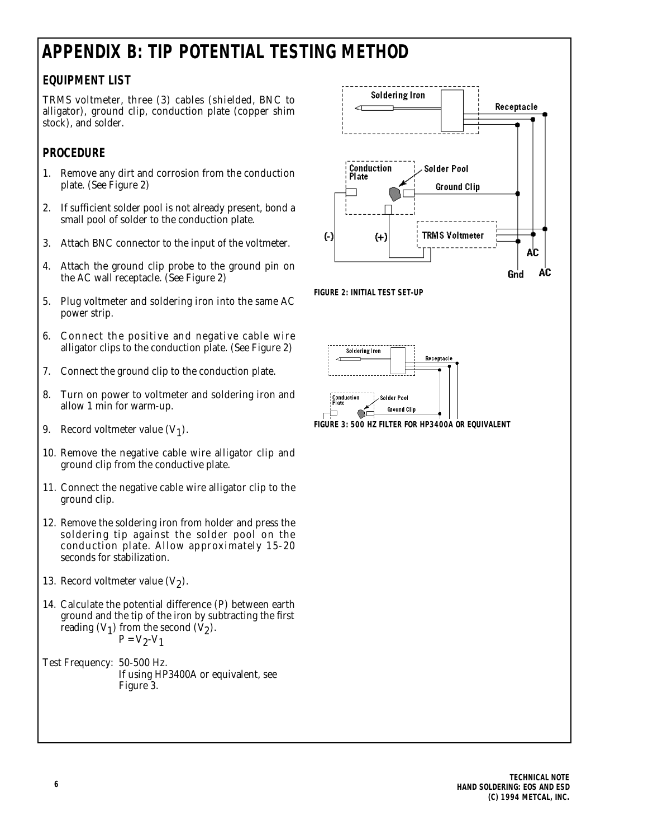# *APPENDIX B: TIP POTENTIAL TESTING METHOD*

# **EQUIPMENT LIST**

TRMS voltmeter, three (3) cables (shielded, BNC to alligator), ground clip, conduction plate (copper shim stock), and solder.

## **PROCEDURE**

- 1. Remove any dirt and corrosion from the conduction plate. (See Figure 2)
- 2. If sufficient solder pool is not already present, bond a small pool of solder to the conduction plate.
- 3. Attach BNC connector to the input of the voltmeter.
- 4. Attach the ground clip probe to the ground pin on the AC wall receptacle. (See Figure 2)
- 5. Plug voltmeter and soldering iron into the same AC power strip.
- 6. Connect the positive and negative cable wire alligator clips to the conduction plate. (See Figure 2)
- 7. Connect the ground clip to the conduction plate.
- 8. Turn on power to voltmeter and soldering iron and allow 1 min for warm-up.
- 9. Record voltmeter value  $(V_1)$ .
- 10. Remove the negative cable wire alligator clip and ground clip from the conductive plate.
- 11. Connect the negative cable wire alligator clip to the ground clip.
- 12. Remove the soldering iron from holder and press the soldering tip against the solder pool on the conduction plate. Allow approximately 15-20 seconds for stabilization.
- 13. Record voltmeter value  $(V_2)$ .
- 14. Calculate the potential difference (P) between earth ground and the tip of the iron by subtracting the first reading  $(V_1)$  from the second  $(V_2)$ .  $P = V_2 - V_1$
- Test Frequency: 50-500 Hz. If using HP3400A or equivalent, see Figure 3.